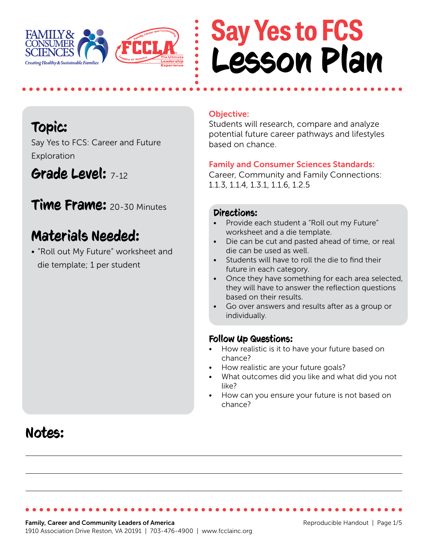

## **Say Yes to FCS** Lesson Plan

#### Topic:

Say Yes to FCS: Career and Future Exploration

### Grade Level: 7-12

**Time Frame:** 20-30 Minutes

### Materials Needed:

• "Roll out My Future" worksheet and die template; 1 per student

#### Objective:

Students will research, compare and analyze potential future career pathways and lifestyles based on chance.

#### Family and Consumer Sciences Standards:

Career, Community and Family Connections: 1.1.3, 1.1.4, 1.3.1, 1.1.6, 1.2.5

#### Directions:

- Provide each student a "Roll out my Future" worksheet and a die template.
- Die can be cut and pasted ahead of time, or real die can be used as well.
- Students will have to roll the die to find their future in each category.
- Once they have something for each area selected, they will have to answer the reflection questions based on their results.
- Go over answers and results after as a group or individually.

#### Follow Up Questions:

- How realistic is it to have your future based on chance?
- How realistic are your future goals?
- What outcomes did you like and what did you not like?
- How can you ensure your future is not based on chance?

### Notes: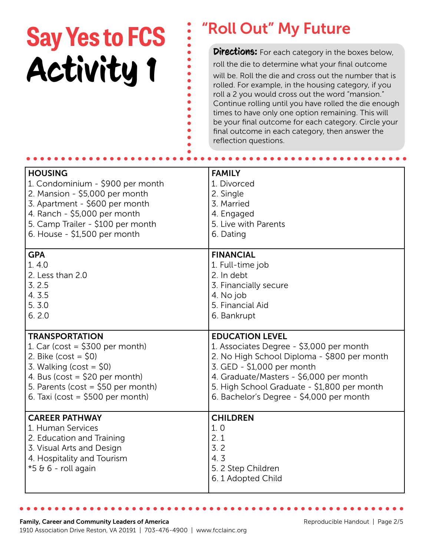# **Say Yes to FCS** : "Roll Out" My Future<br>**Pirections:** For each category in the boxes below, Activity 1

roll the die to determine what your final outcome will be. Roll the die and cross out the number that is rolled. For example, in the housing category, if you roll a 2 you would cross out the word "mansion." Continue rolling until you have rolled the die enough times to have only one option remaining. This will be your final outcome for each category. Circle your final outcome in each category, then answer the reflection questions.

| <b>HOUSING</b>                                                                                                                                             | <b>FAMILY</b>                                                                           |
|------------------------------------------------------------------------------------------------------------------------------------------------------------|-----------------------------------------------------------------------------------------|
| 1. Condominium - \$900 per month                                                                                                                           | 1. Divorced                                                                             |
| 2. Mansion - \$5,000 per month                                                                                                                             | 2. Single                                                                               |
| 3. Apartment - \$600 per month                                                                                                                             | 3. Married                                                                              |
| 4. Ranch - \$5,000 per month                                                                                                                               | 4. Engaged                                                                              |
| 5. Camp Trailer - \$100 per month                                                                                                                          | 5. Live with Parents                                                                    |
| 6. House - \$1,500 per month                                                                                                                               | 6. Dating                                                                               |
| <b>GPA</b>                                                                                                                                                 | <b>FINANCIAL</b>                                                                        |
| 1.4.0                                                                                                                                                      | 1. Full-time job                                                                        |
| 2. Less than 2.0                                                                                                                                           | 2. In debt                                                                              |
| 3.2.5                                                                                                                                                      | 3. Financially secure                                                                   |
| 4.3.5                                                                                                                                                      | 4. No job                                                                               |
| 5.3.0                                                                                                                                                      | 5. Financial Aid                                                                        |
| 6.2.0                                                                                                                                                      | 6. Bankrupt                                                                             |
| <b>TRANSPORTATION</b>                                                                                                                                      | <b>EDUCATION LEVEL</b>                                                                  |
| 1. Car (cost = $$300$ per month)                                                                                                                           | 1. Associates Degree - \$3,000 per month                                                |
| 2. Bike $(cost = $0)$                                                                                                                                      | 2. No High School Diploma - \$800 per month                                             |
| 3. Walking ( $cost = $0$ )                                                                                                                                 | 3. GED - \$1,000 per month                                                              |
| 4. Bus (cost = $$20$ per month)                                                                                                                            | 4. Graduate/Masters - \$6,000 per month                                                 |
| 5. Parents (cost = $$50$ per month)                                                                                                                        | 5. High School Graduate - \$1,800 per month                                             |
| 6. Taxi ( $cost = $500$ per month)                                                                                                                         | 6. Bachelor's Degree - \$4,000 per month                                                |
| <b>CAREER PATHWAY</b><br>1. Human Services<br>2. Education and Training<br>3. Visual Arts and Design<br>4. Hospitality and Tourism<br>$*5.66$ - roll again | <b>CHILDREN</b><br>1.0<br>2.1<br>3.2<br>4.3<br>5. 2 Step Children<br>6. 1 Adopted Child |

 $\bullet$  $\bullet$  $\bullet$  $\bullet$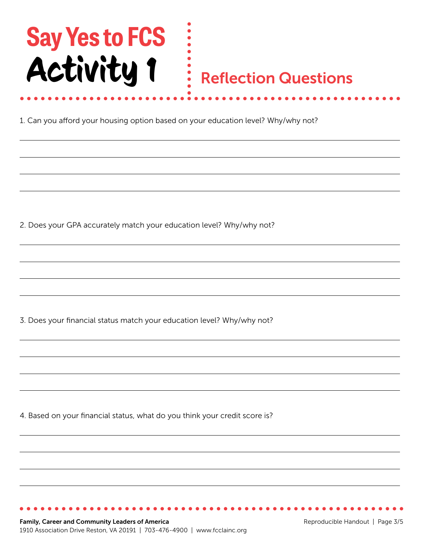# **Say Yes to FCS** Activity 1

### Reflection Questions

1. Can you afford your housing option based on your education level? Why/why not?

 $\begin{array}{c} \bullet \\ \bullet \\ \bullet \end{array}$ 

2. Does your GPA accurately match your education level? Why/why not?

3. Does your financial status match your education level? Why/why not?

4. Based on your financial status, what do you think your credit score is?

Family, Career and Community Leaders of America 1910 Association Drive Reston, VA 20191 | 703-476-4900 | www.fcclainc.org

...............................

Reproducible Handout | Page 3/5

. . . . . . . . . . . . .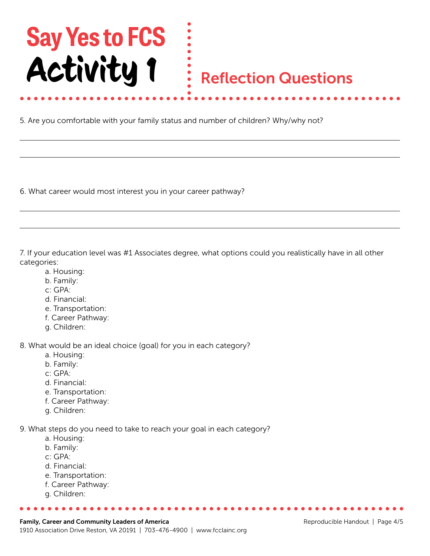# **Say Yes to FCS** Activity 1

### Reflection Questions

5. Are you comfortable with your family status and number of children? Why/why not?

6. What career would most interest you in your career pathway?

7. If your education level was #1 Associates degree, what options could you realistically have in all other categories:

- a. Housing:
- b. Family:
- c: GPA:
- d. Financial:
- e. Transportation:
- f. Career Pathway:
- g. Children:

8. What would be an ideal choice (goal) for you in each category?

- a. Housing:
- b. Family:
- c: GPA:
- d. Financial:
- e. Transportation:
- f. Career Pathway:
- g. Children:

9. What steps do you need to take to reach your goal in each category?

- a. Housing:
- b. Family:
- c: GPA:
- d. Financial:
- e. Transportation:
- f. Career Pathway:
- g. Children: